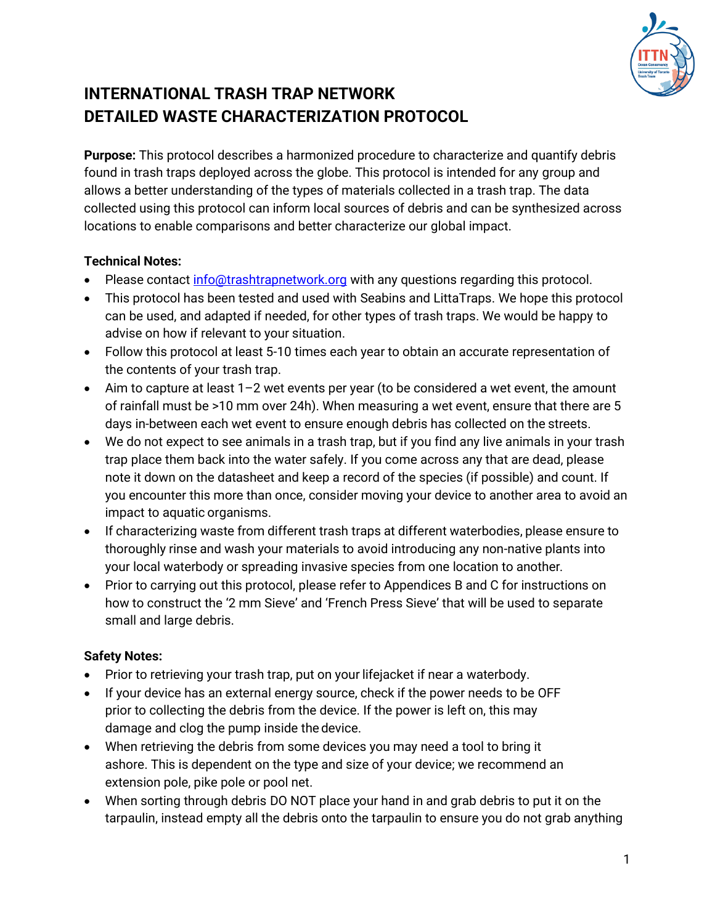

# **INTERNATIONAL TRASH TRAP NETWORK DETAILED WASTE CHARACTERIZATION PROTOCOL**

**Purpose:** This protocol describes a harmonized procedure to characterize and quantify debris found in trash traps deployed across the globe. This protocol is intended for any group and allows a better understanding of the types of materials collected in a trash trap. The data collected using this protocol can inform local sources of debris and can be synthesized across locations to enable comparisons and better characterize our global impact.

### **Technical Notes:**

- Please contact [info@trashtrapnetwork.org](mailto:info@trashtrapnetwork.org) with any questions regarding this protocol.
- This protocol has been tested and used with Seabins and LittaTraps. We hope this protocol can be used, and adapted if needed, for other types of trash traps. We would be happy to advise on how if relevant to your situation.
- Follow this protocol at least 5-10 times each year to obtain an accurate representation of the contents of your trash trap.
- $\bullet$  Aim to capture at least 1–2 wet events per year (to be considered a wet event, the amount of rainfall must be >10 mm over 24h). When measuring a wet event, ensure that there are 5 days in-between each wet event to ensure enough debris has collected on the streets.
- We do not expect to see animals in a trash trap, but if you find any live animals in your trash trap place them back into the water safely. If you come across any that are dead, please note it down on the datasheet and keep a record of the species (if possible) and count. If you encounter this more than once, consider moving your device to another area to avoid an impact to aquatic organisms.
- If characterizing waste from different trash traps at different waterbodies, please ensure to thoroughly rinse and wash your materials to avoid introducing any non-native plants into your local waterbody or spreading invasive species from one location to another*.*
- Prior to carrying out this protocol, please refer to Appendices B and C for instructions on how to construct the '2 mm Sieve' and 'French Press Sieve' that will be used to separate small and large debris.

#### **Safety Notes:**

- Prior to retrieving your trash trap, put on your lifejacket if near a waterbody.
- If your device has an external energy source, check if the power needs to be OFF prior to collecting the debris from the device. If the power is left on, this may damage and clog the pump inside the device.
- When retrieving the debris from some devices you may need a tool to bring it ashore. This is dependent on the type and size of your device; we recommend an extension pole, pike pole or pool net.
- When sorting through debris DO NOT place your hand in and grab debris to put it on the tarpaulin, instead empty all the debris onto the tarpaulin to ensure you do not grab anything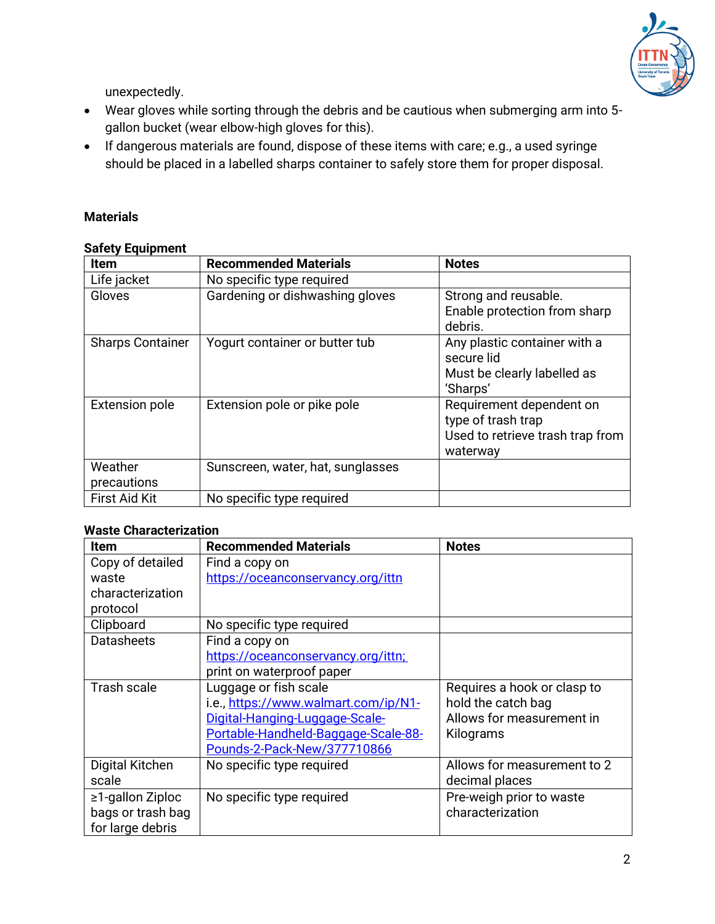

unexpectedly.

- Wear gloves while sorting through the debris and be cautious when submerging arm into 5 gallon bucket (wear elbow-high gloves for this).
- If dangerous materials are found, dispose of these items with care; e.g., a used syringe should be placed in a labelled sharps container to safely store them for proper disposal.

#### **Materials**

#### **Safety Equipment**

| <b>Item</b>             | <b>Recommended Materials</b>      | <b>Notes</b>                                                                                   |
|-------------------------|-----------------------------------|------------------------------------------------------------------------------------------------|
| Life jacket             | No specific type required         |                                                                                                |
| Gloves                  | Gardening or dishwashing gloves   | Strong and reusable.<br>Enable protection from sharp<br>debris.                                |
| <b>Sharps Container</b> | Yogurt container or butter tub    | Any plastic container with a<br>secure lid<br>Must be clearly labelled as<br>'Sharps'          |
| <b>Extension pole</b>   | Extension pole or pike pole       | Requirement dependent on<br>type of trash trap<br>Used to retrieve trash trap from<br>waterway |
| Weather<br>precautions  | Sunscreen, water, hat, sunglasses |                                                                                                |
| <b>First Aid Kit</b>    | No specific type required         |                                                                                                |

#### **Waste Characterization**

| Item                   | <b>Recommended Materials</b>         | <b>Notes</b>                |
|------------------------|--------------------------------------|-----------------------------|
| Copy of detailed       | Find a copy on                       |                             |
| waste                  | https://oceanconservancy.org/ittn    |                             |
| characterization       |                                      |                             |
| protocol               |                                      |                             |
| Clipboard              | No specific type required            |                             |
| <b>Datasheets</b>      | Find a copy on                       |                             |
|                        | https://oceanconservancy.org/ittn;   |                             |
|                        | print on waterproof paper            |                             |
| Trash scale            | Luggage or fish scale                | Requires a hook or clasp to |
|                        | i.e., https://www.walmart.com/ip/N1- | hold the catch bag          |
|                        | Digital-Hanging-Luggage-Scale-       | Allows for measurement in   |
|                        | Portable-Handheld-Baggage-Scale-88-  | Kilograms                   |
|                        | Pounds-2-Pack-New/377710866          |                             |
| Digital Kitchen        | No specific type required            | Allows for measurement to 2 |
| scale                  |                                      | decimal places              |
| $\geq$ 1-gallon Ziploc | No specific type required            | Pre-weigh prior to waste    |
| bags or trash bag      |                                      | characterization            |
| for large debris       |                                      |                             |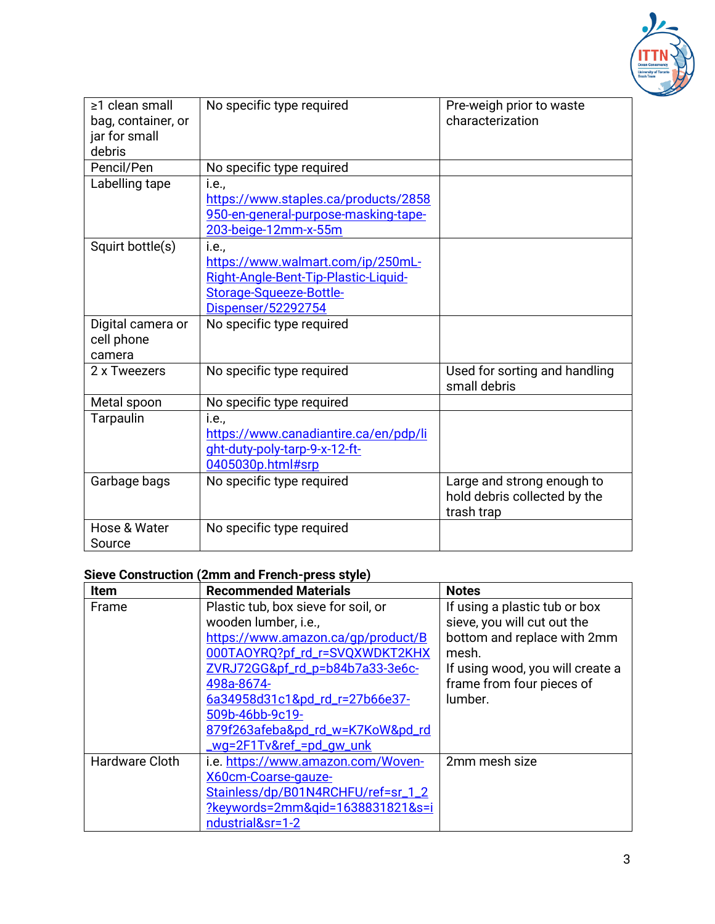

| ≥1 clean small<br>bag, container, or<br>jar for small | No specific type required                                                                                                                   | Pre-weigh prior to waste<br>characterization                             |
|-------------------------------------------------------|---------------------------------------------------------------------------------------------------------------------------------------------|--------------------------------------------------------------------------|
| debris                                                |                                                                                                                                             |                                                                          |
| Pencil/Pen                                            | No specific type required                                                                                                                   |                                                                          |
| Labelling tape                                        | <i>i.e.</i> ,<br>https://www.staples.ca/products/2858<br>950-en-general-purpose-masking-tape-<br>203-beige-12mm-x-55m                       |                                                                          |
| Squirt bottle(s)                                      | <i>i.e.</i> ,<br>https://www.walmart.com/ip/250mL-<br>Right-Angle-Bent-Tip-Plastic-Liquid-<br>Storage-Squeeze-Bottle-<br>Dispenser/52292754 |                                                                          |
| Digital camera or<br>cell phone<br>camera             | No specific type required                                                                                                                   |                                                                          |
| 2 x Tweezers                                          | No specific type required                                                                                                                   | Used for sorting and handling<br>small debris                            |
| Metal spoon                                           | No specific type required                                                                                                                   |                                                                          |
| Tarpaulin                                             | <i>i.e.</i> ,<br>https://www.canadiantire.ca/en/pdp/li<br>ght-duty-poly-tarp-9-x-12-ft-<br>0405030p.html#srp                                |                                                                          |
| Garbage bags                                          | No specific type required                                                                                                                   | Large and strong enough to<br>hold debris collected by the<br>trash trap |
| Hose & Water<br>Source                                | No specific type required                                                                                                                   |                                                                          |

# **Sieve Construction (2mm and French-press style)**

| Item           | <b>Recommended Materials</b>        | <b>Notes</b>                     |
|----------------|-------------------------------------|----------------------------------|
| Frame          | Plastic tub, box sieve for soil, or | If using a plastic tub or box    |
|                | wooden lumber, i.e.,                | sieve, you will cut out the      |
|                | https://www.amazon.ca/qp/product/B  | bottom and replace with 2mm      |
|                | 000TAOYRQ?pf_rd_r=SVQXWDKT2KHX      | mesh.                            |
|                | ZVRJ72GG&pf_rd_p=b84b7a33-3e6c-     | If using wood, you will create a |
|                | 498a-8674-                          | frame from four pieces of        |
|                | 6a34958d31c1&pd_rd_r=27b66e37-      | lumber.                          |
|                | 509b-46bb-9c19-                     |                                  |
|                | 879f263afeba&pd_rd_w=K7KoW&pd_rd    |                                  |
|                | <u>_wg=2F1Tv&amp;ref_=pd_gw_unk</u> |                                  |
| Hardware Cloth | i.e. https://www.amazon.com/Woven-  | 2mm mesh size                    |
|                | X60cm-Coarse-gauze-                 |                                  |
|                | Stainless/dp/B01N4RCHFU/ref=sr_1_2  |                                  |
|                | ?keywords=2mm&gid=1638831821&s=i    |                                  |
|                | ndustrial&sr=1-2                    |                                  |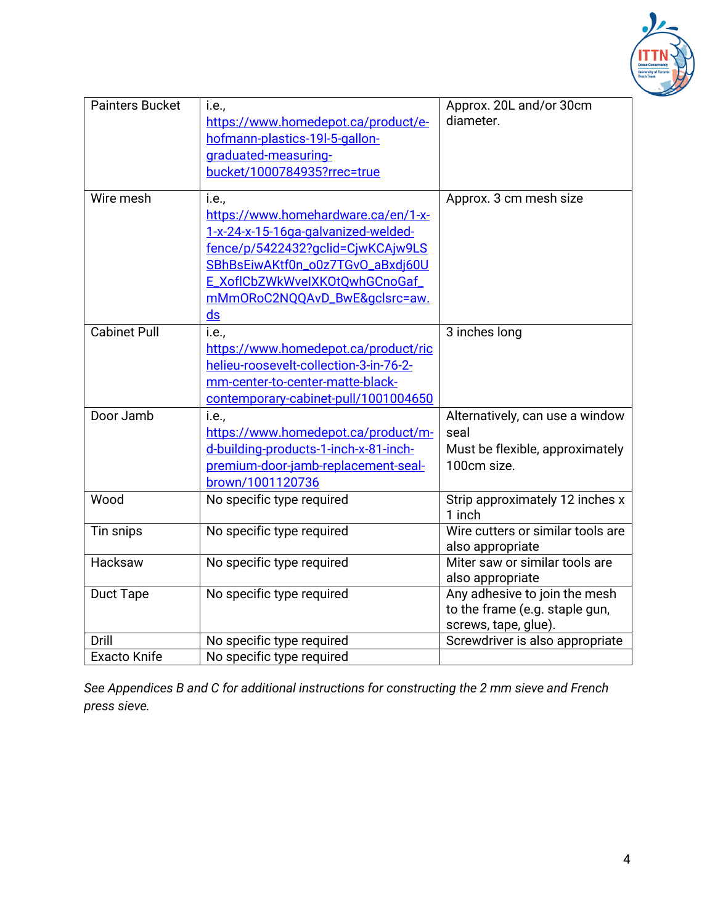

| <b>Painters Bucket</b> | i.e.,                                  | Approx. 20L and/or 30cm                   |
|------------------------|----------------------------------------|-------------------------------------------|
|                        | https://www.homedepot.ca/product/e-    | diameter.                                 |
|                        | hofmann-plastics-19I-5-gallon-         |                                           |
|                        | graduated-measuring-                   |                                           |
|                        | bucket/1000784935?rrec=true            |                                           |
| Wire mesh              | i.e.,                                  | Approx. 3 cm mesh size                    |
|                        | https://www.homehardware.ca/en/1-x-    |                                           |
|                        | 1-x-24-x-15-16ga-galvanized-welded-    |                                           |
|                        | fence/p/5422432?gclid=CjwKCAjw9LS      |                                           |
|                        | SBhBsEiwAKtf0n_o0z7TGvO_aBxdj60U       |                                           |
|                        | E_XoflCbZWkWveIXKOtQwhGCnoGaf_         |                                           |
|                        | mMmORoC2NQQAvD_BwE&gclsrc=aw.          |                                           |
|                        | $\mathsf{ds}$                          |                                           |
| <b>Cabinet Pull</b>    | i.e.,                                  | 3 inches long                             |
|                        | https://www.homedepot.ca/product/ric   |                                           |
|                        | helieu-roosevelt-collection-3-in-76-2- |                                           |
|                        | mm-center-to-center-matte-black-       |                                           |
|                        | contemporary-cabinet-pull/1001004650   |                                           |
| Door Jamb              | i.e.,                                  | Alternatively, can use a window           |
|                        | https://www.homedepot.ca/product/m-    | seal                                      |
|                        | d-building-products-1-inch-x-81-inch-  | Must be flexible, approximately           |
|                        | premium-door-jamb-replacement-seal-    | 100cm size.                               |
|                        | brown/1001120736                       |                                           |
| Wood                   | No specific type required              | Strip approximately 12 inches x<br>1 inch |
| Tin snips              | No specific type required              | Wire cutters or similar tools are         |
|                        |                                        | also appropriate                          |
| Hacksaw                | No specific type required              | Miter saw or similar tools are            |
|                        |                                        | also appropriate                          |
| Duct Tape              | No specific type required              | Any adhesive to join the mesh             |
|                        |                                        | to the frame (e.g. staple gun,            |
|                        |                                        | screws, tape, glue).                      |
| Drill                  | No specific type required              | Screwdriver is also appropriate           |
| <b>Exacto Knife</b>    | No specific type required              |                                           |

*See Appendices B and C for additional instructions for constructing the 2 mm sieve and French press sieve.*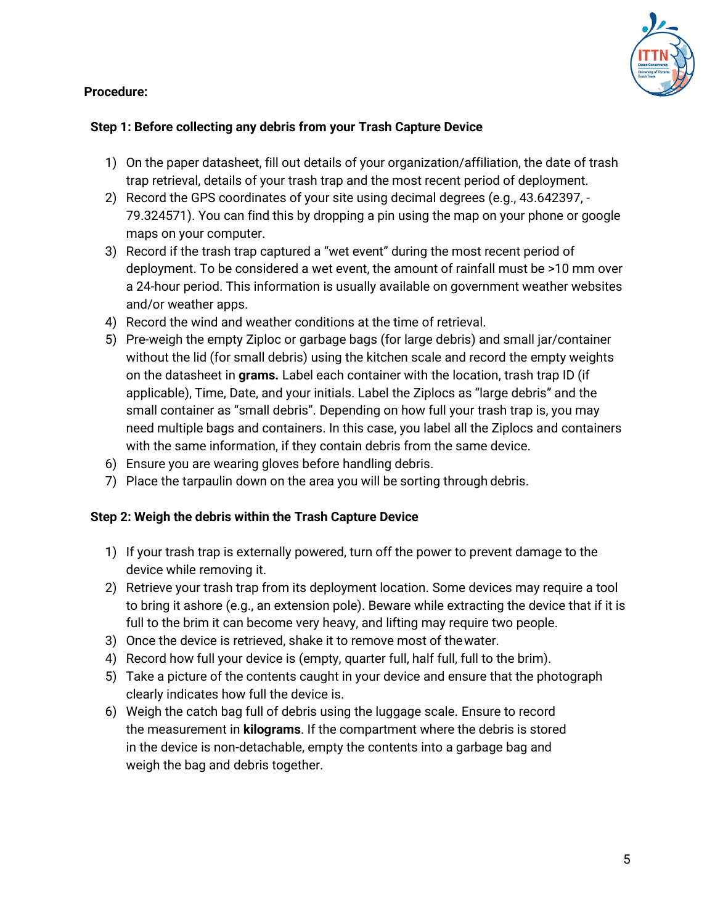#### **Procedure:**



#### **Step 1: Before collecting any debris from your Trash Capture Device**

- 1) On the paper datasheet, fill out details of your organization/affiliation, the date of trash trap retrieval, details of your trash trap and the most recent period of deployment.
- 2) Record the GPS coordinates of your site using decimal degrees (e.g., 43.642397, 79.324571). You can find this by dropping a pin using the map on your phone or google maps on your computer.
- 3) Record if the trash trap captured a "wet event" during the most recent period of deployment. To be considered a wet event, the amount of rainfall must be >10 mm over a 24-hour period. This information is usually available on government weather websites and/or weather apps.
- 4) Record the wind and weather conditions at the time of retrieval.
- 5) Pre-weigh the empty Ziploc or garbage bags (for large debris) and small jar/container without the lid (for small debris) using the kitchen scale and record the empty weights on the datasheet in **grams.** Label each container with the location, trash trap ID (if applicable), Time, Date, and your initials. Label the Ziplocs as "large debris" and the small container as "small debris". Depending on how full your trash trap is, you may need multiple bags and containers. In this case, you label all the Ziplocs and containers with the same information, if they contain debris from the same device.
- 6) Ensure you are wearing gloves before handling debris.
- 7) Place the tarpaulin down on the area you will be sorting through debris.

#### **Step 2: Weigh the debris within the Trash Capture Device**

- 1) If your trash trap is externally powered, turn off the power to prevent damage to the device while removing it.
- 2) Retrieve your trash trap from its deployment location. Some devices may require a tool to bring it ashore (e.g., an extension pole). Beware while extracting the device that if it is full to the brim it can become very heavy, and lifting may require two people.
- 3) Once the device is retrieved, shake it to remove most of thewater.
- 4) Record how full your device is (empty, quarter full, half full, full to the brim).
- 5) Take a picture of the contents caught in your device and ensure that the photograph clearly indicates how full the device is.
- 6) Weigh the catch bag full of debris using the luggage scale. Ensure to record the measurement in **kilograms**. If the compartment where the debris is stored in the device is non-detachable, empty the contents into a garbage bag and weigh the bag and debris together.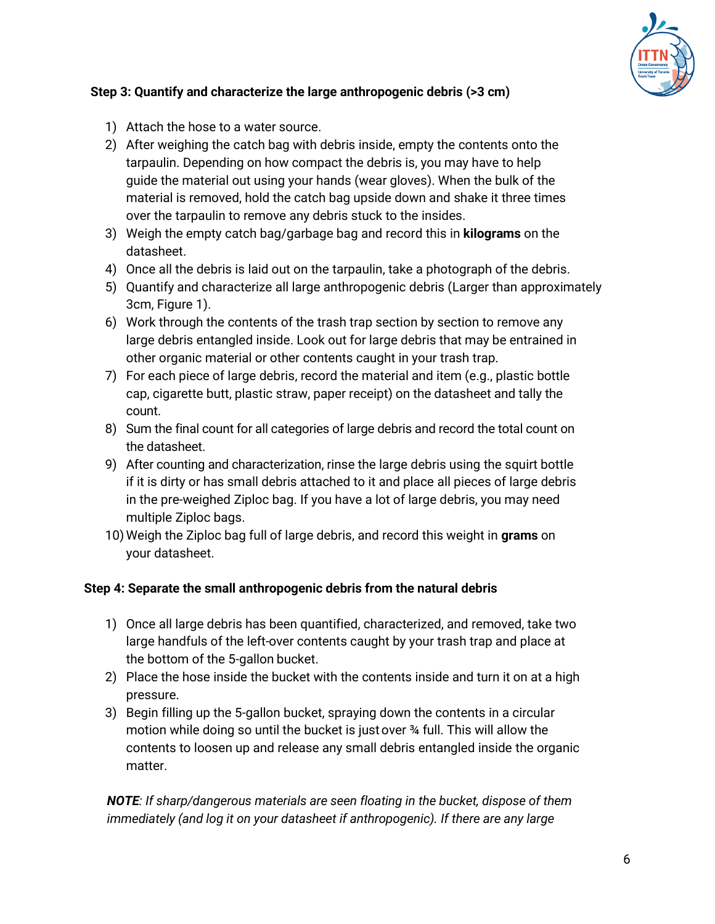

## **Step 3: Quantify and characterize the large anthropogenic debris (>3 cm)**

- 1) Attach the hose to a water source.
- 2) After weighing the catch bag with debris inside, empty the contents onto the tarpaulin. Depending on how compact the debris is, you may have to help guide the material out using your hands (wear gloves). When the bulk of the material is removed, hold the catch bag upside down and shake it three times over the tarpaulin to remove any debris stuck to the insides.
- 3) Weigh the empty catch bag/garbage bag and record this in **kilograms** on the datasheet.
- 4) Once all the debris is laid out on the tarpaulin, take a photograph of the debris.
- 5) Quantify and characterize all large anthropogenic debris (Larger than approximately 3cm, Figure 1).
- 6) Work through the contents of the trash trap section by section to remove any large debris entangled inside. Look out for large debris that may be entrained in other organic material or other contents caught in your trash trap.
- 7) For each piece of large debris, record the material and item (e.g., plastic bottle cap, cigarette butt, plastic straw, paper receipt) on the datasheet and tally the count.
- 8) Sum the final count for all categories of large debris and record the total count on the datasheet.
- 9) After counting and characterization, rinse the large debris using the squirt bottle if it is dirty or has small debris attached to it and place all pieces of large debris in the pre-weighed Ziploc bag. If you have a lot of large debris, you may need multiple Ziploc bags.
- 10) Weigh the Ziploc bag full of large debris, and record this weight in **grams** on your datasheet.

### **Step 4: Separate the small anthropogenic debris from the natural debris**

- 1) Once all large debris has been quantified, characterized, and removed, take two large handfuls of the left-over contents caught by your trash trap and place at the bottom of the 5-gallon bucket.
- 2) Place the hose inside the bucket with the contents inside and turn it on at a high pressure.
- 3) Begin filling up the 5-gallon bucket, spraying down the contents in a circular motion while doing so until the bucket is just over ¾ full. This will allow the contents to loosen up and release any small debris entangled inside the organic matter.

*NOTE: If sharp/dangerous materials are seen floating in the bucket, dispose of them immediately (and log it on your datasheet if anthropogenic). If there are any large*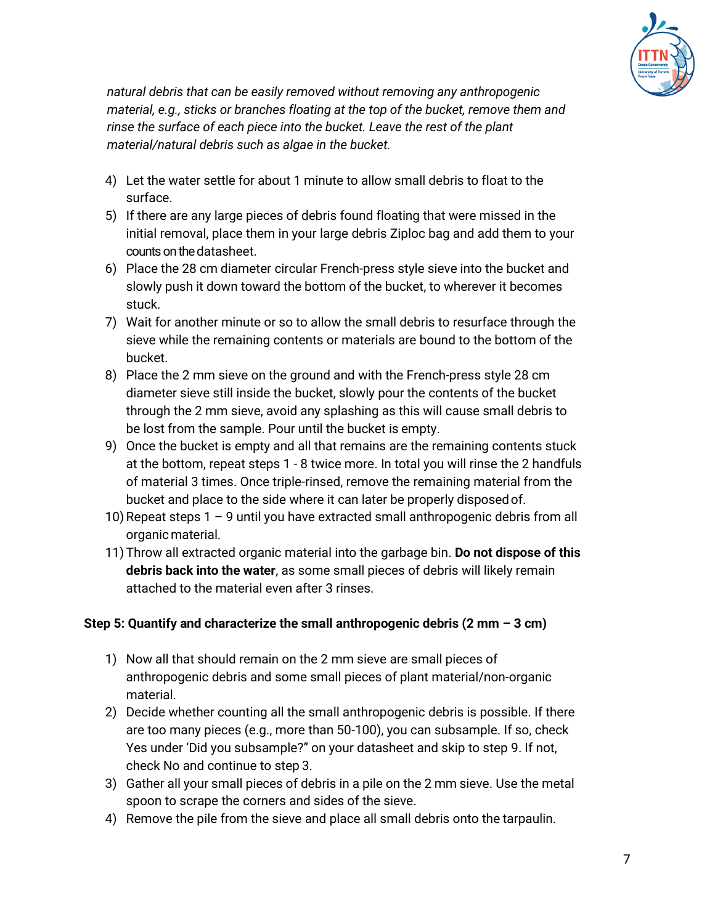

*natural debris that can be easily removed without removing any anthropogenic material, e.g., sticks or branches floating at the top of the bucket, remove them and rinse the surface of each piece into the bucket. Leave the rest of the plant material/natural debris such as algae in the bucket.*

- 4) Let the water settle for about 1 minute to allow small debris to float to the surface.
- 5) If there are any large pieces of debris found floating that were missed in the initial removal, place them in your large debris Ziploc bag and add them to your counts on the datasheet.
- 6) Place the 28 cm diameter circular French-press style sieve into the bucket and slowly push it down toward the bottom of the bucket, to wherever it becomes stuck.
- 7) Wait for another minute or so to allow the small debris to resurface through the sieve while the remaining contents or materials are bound to the bottom of the bucket.
- 8) Place the 2 mm sieve on the ground and with the French-press style 28 cm diameter sieve still inside the bucket, slowly pour the contents of the bucket through the 2 mm sieve, avoid any splashing as this will cause small debris to be lost from the sample. Pour until the bucket is empty.
- 9) Once the bucket is empty and all that remains are the remaining contents stuck at the bottom, repeat steps 1 - 8 twice more. In total you will rinse the 2 handfuls of material 3 times. Once triple-rinsed, remove the remaining material from the bucket and place to the side where it can later be properly disposedof.
- 10) Repeat steps  $1 9$  until you have extracted small anthropogenic debris from all organicmaterial.
- 11) Throw all extracted organic material into the garbage bin. **Do not dispose of this debris back into the water**, as some small pieces of debris will likely remain attached to the material even after 3 rinses.

### **Step 5: Quantify and characterize the small anthropogenic debris (2 mm – 3 cm)**

- 1) Now all that should remain on the 2 mm sieve are small pieces of anthropogenic debris and some small pieces of plant material/non-organic material.
- 2) Decide whether counting all the small anthropogenic debris is possible. If there are too many pieces (e.g., more than 50-100), you can subsample. If so, check Yes under 'Did you subsample?" on your datasheet and skip to step 9. If not, check No and continue to step 3.
- 3) Gather all your small pieces of debris in a pile on the 2 mm sieve. Use the metal spoon to scrape the corners and sides of the sieve.
- 4) Remove the pile from the sieve and place all small debris onto the tarpaulin.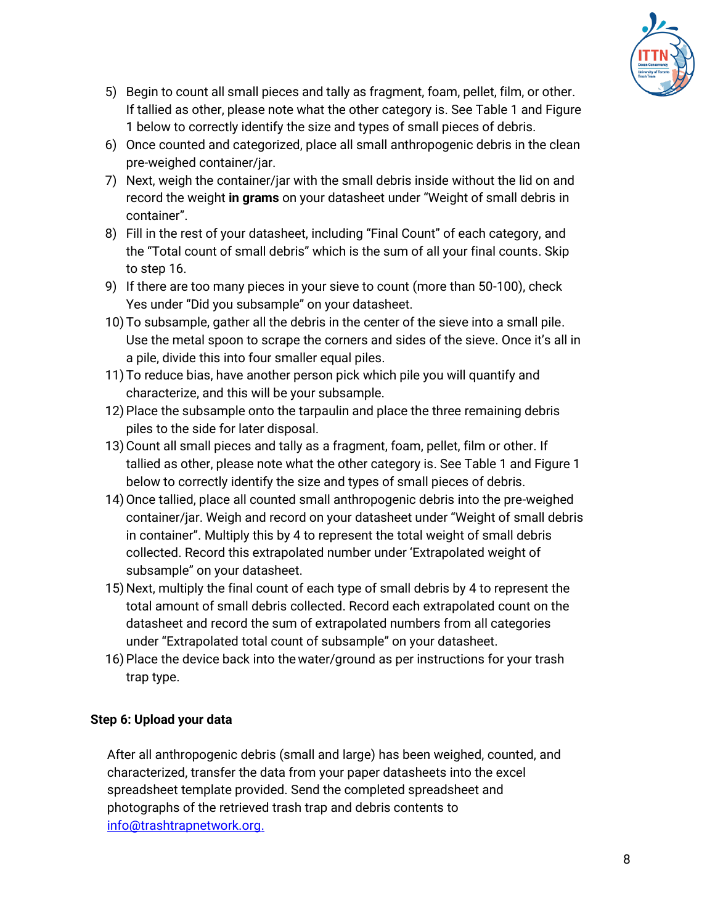

- 5) Begin to count all small pieces and tally as fragment, foam, pellet, film, or other. If tallied as other, please note what the other category is. See Table 1 and Figure 1 below to correctly identify the size and types of small pieces of debris.
- 6) Once counted and categorized, place all small anthropogenic debris in the clean pre-weighed container/jar.
- 7) Next, weigh the container/jar with the small debris inside without the lid on and record the weight **in grams** on your datasheet under "Weight of small debris in container".
- 8) Fill in the rest of your datasheet, including "Final Count" of each category, and the "Total count of small debris" which is the sum of all your final counts. Skip to step 16.
- 9) If there are too many pieces in your sieve to count (more than 50-100), check Yes under "Did you subsample" on your datasheet.
- 10) To subsample, gather all the debris in the center of the sieve into a small pile. Use the metal spoon to scrape the corners and sides of the sieve. Once it's all in a pile, divide this into four smaller equal piles.
- 11) To reduce bias, have another person pick which pile you will quantify and characterize, and this will be your subsample.
- 12) Place the subsample onto the tarpaulin and place the three remaining debris piles to the side for later disposal.
- 13)Count all small pieces and tally as a fragment, foam, pellet, film or other. If tallied as other, please note what the other category is. See Table 1 and Figure 1 below to correctly identify the size and types of small pieces of debris.
- 14)Once tallied, place all counted small anthropogenic debris into the pre-weighed container/jar. Weigh and record on your datasheet under "Weight of small debris in container". Multiply this by 4 to represent the total weight of small debris collected. Record this extrapolated number under 'Extrapolated weight of subsample" on your datasheet.
- 15) Next, multiply the final count of each type of small debris by 4 to represent the total amount of small debris collected. Record each extrapolated count on the datasheet and record the sum of extrapolated numbers from all categories under "Extrapolated total count of subsample" on your datasheet.
- 16)Place the device back into thewater/ground as per instructions for your trash trap type.

### **Step 6: Upload your data**

After all anthropogenic debris (small and large) has been weighed, counted, and characterized, transfer the data from your paper datasheets into the excel spreadsheet template provided. Send the completed spreadsheet and photographs of the retrieved trash trap and debris contents to [info@trashtrapnetwork.org.](mailto:info@trashtrapnetwork.org)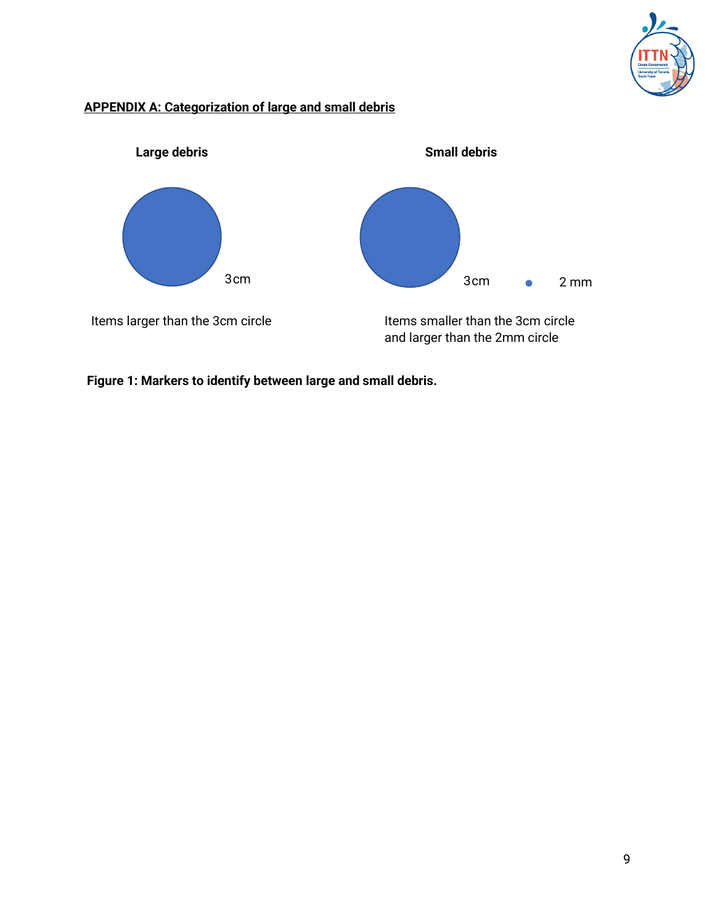

## **APPENDIX A: Categorization of large and small debris**



**Figure 1: Markers to identify between large and small debris.**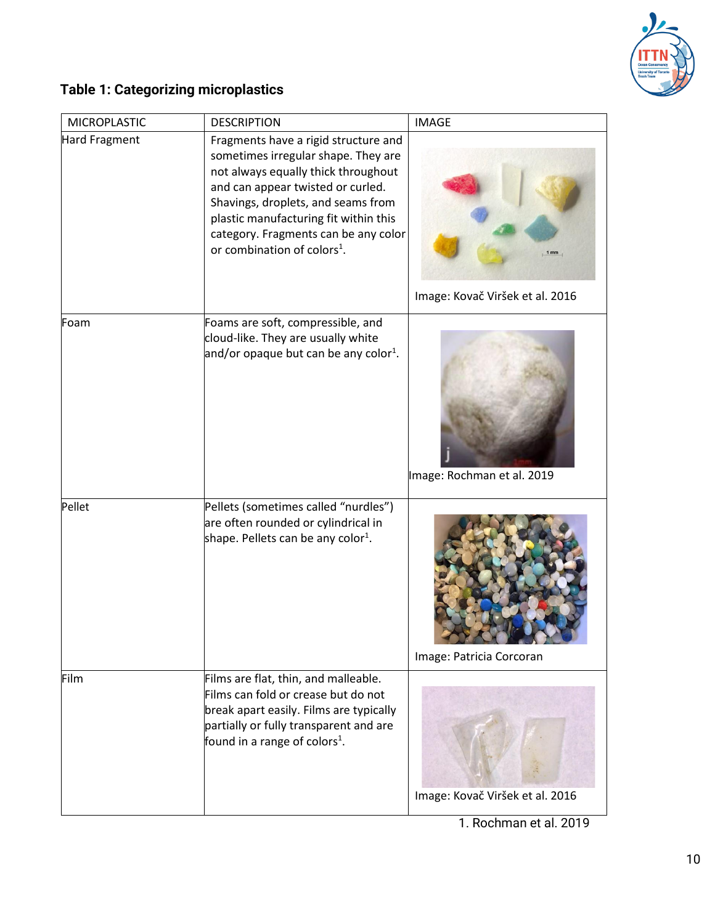

# **Table 1: Categorizing microplastics**

| <b>MICROPLASTIC</b>  | <b>DESCRIPTION</b>                                                                                                                                                                                                                                                                                                        | <b>IMAGE</b>                    |
|----------------------|---------------------------------------------------------------------------------------------------------------------------------------------------------------------------------------------------------------------------------------------------------------------------------------------------------------------------|---------------------------------|
| <b>Hard Fragment</b> | Fragments have a rigid structure and<br>sometimes irregular shape. They are<br>not always equally thick throughout<br>and can appear twisted or curled.<br>Shavings, droplets, and seams from<br>plastic manufacturing fit within this<br>category. Fragments can be any color<br>or combination of colors <sup>1</sup> . |                                 |
|                      |                                                                                                                                                                                                                                                                                                                           | Image: Kovač Viršek et al. 2016 |
| Foam                 | Foams are soft, compressible, and<br>cloud-like. They are usually white<br>and/or opaque but can be any color <sup>1</sup> .                                                                                                                                                                                              | Image: Rochman et al. 2019      |
| Pellet               | Pellets (sometimes called "nurdles")<br>are often rounded or cylindrical in<br>shape. Pellets can be any color <sup>1</sup> .                                                                                                                                                                                             | Image: Patricia Corcoran        |
| Film                 | Films are flat, thin, and malleable.<br>Films can fold or crease but do not<br>break apart easily. Films are typically<br>partially or fully transparent and are<br>found in a range of colors <sup>1</sup> .                                                                                                             | Image: Kovač Viršek et al. 2016 |

1. Rochman et al. 2019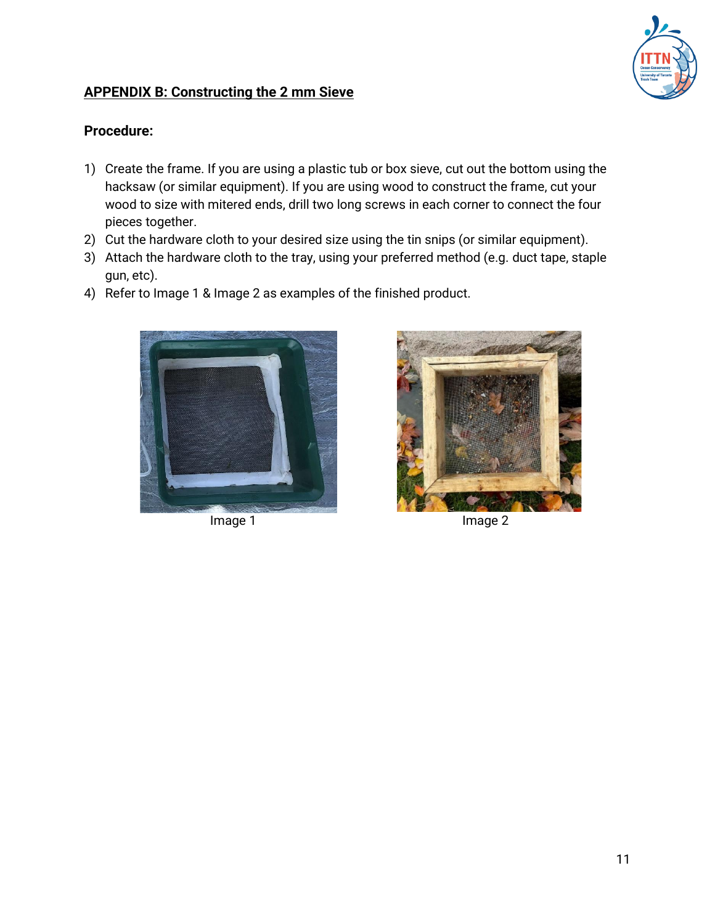

## **APPENDIX B: Constructing the 2 mm Sieve**

## **Procedure:**

- 1) Create the frame. If you are using a plastic tub or box sieve, cut out the bottom using the hacksaw (or similar equipment). If you are using wood to construct the frame, cut your wood to size with mitered ends, drill two long screws in each corner to connect the four pieces together.
- 2) Cut the hardware cloth to your desired size using the tin snips (or similar equipment).
- 3) Attach the hardware cloth to the tray, using your preferred method (e.g. duct tape, staple gun, etc).
- 4) Refer to Image 1 & Image 2 as examples of the finished product.





Image 1 Image 2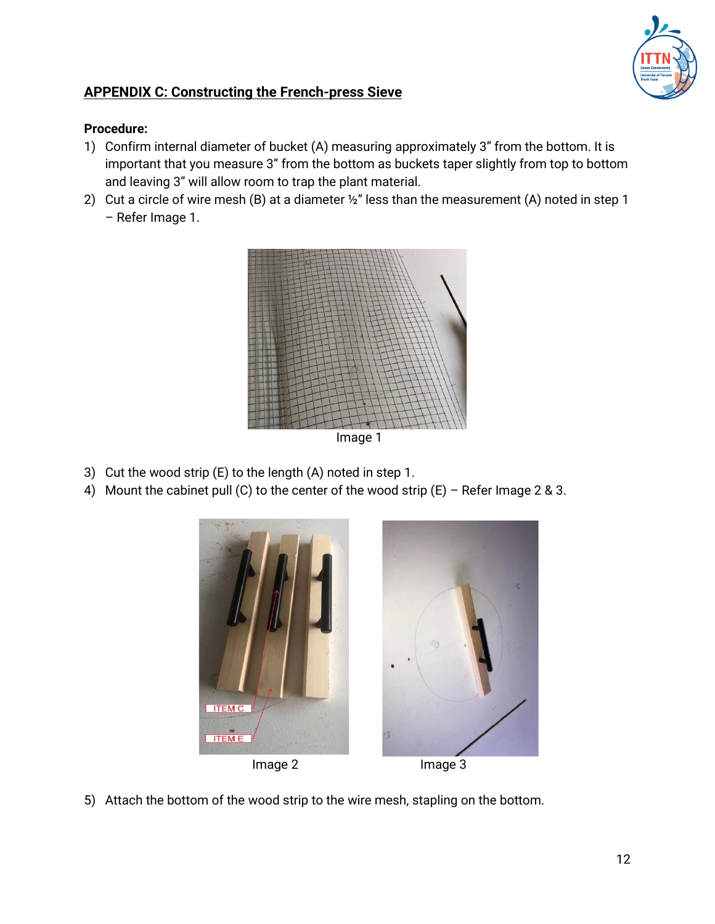

## **APPENDIX C: Constructing the French-press Sieve**

### **Procedure:**

- 1) Confirm internal diameter of bucket (A) measuring approximately 3" from the bottom. It is important that you measure 3" from the bottom as buckets taper slightly from top to bottom and leaving 3" will allow room to trap the plant material.
- 2) Cut a circle of wire mesh (B) at a diameter  $\frac{1}{2}$ " less than the measurement (A) noted in step 1 – Refer Image 1.



Image 1

- 3) Cut the wood strip (E) to the length (A) noted in step 1.
- 4) Mount the cabinet pull (C) to the center of the wood strip  $(E)$  Refer Image 2 & 3.



5) Attach the bottom of the wood strip to the wire mesh, stapling on the bottom.